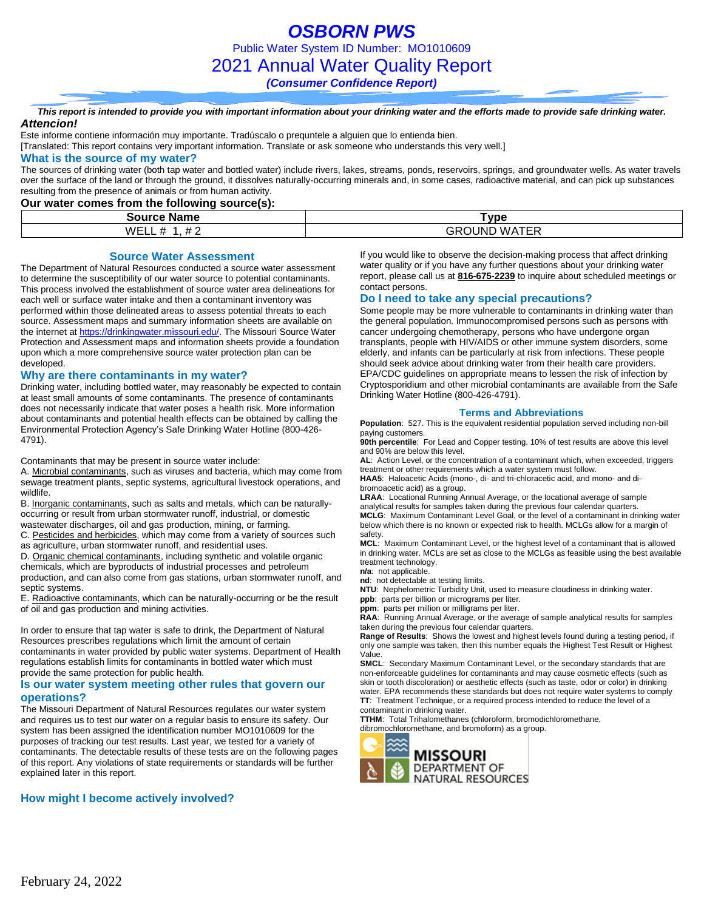*OSBORN PWS* Public Water System ID Number: MO1010609 2021 Annual Water Quality Report *(Consumer Confidence Report)*

*This report is intended to provide you with important information about your drinking water and the efforts made to provide safe drinking water. Attencion!*

### Este informe contiene información muy importante. Tradúscalo o prequntele a alguien que lo entienda bien.

[Translated: This report contains very important information. Translate or ask someone who understands this very well.]

### **What is the source of my water?**

The sources of drinking water (both tap water and bottled water) include rivers, lakes, streams, ponds, reservoirs, springs, and groundwater wells. As water travels over the surface of the land or through the ground, it dissolves naturally-occurring minerals and, in some cases, radioactive material, and can pick up substances resulting from the presence of animals or from human activity.

### **Our water comes from the following source(s):**

| Source<br>Name | vpe'                          |
|----------------|-------------------------------|
| WF<br>-        | ATER<br>∶ว∪NL<br>`WA L<br>GRI |

#### **Source Water Assessment**

The Department of Natural Resources conducted a source water assessment to determine the susceptibility of our water source to potential contaminants. This process involved the establishment of source water area delineations for each well or surface water intake and then a contaminant inventory was performed within those delineated areas to assess potential threats to each source. Assessment maps and summary information sheets are available on the internet a[t https://drinkingwater.missouri.edu/.](https://drinkingwater.missouri.edu/) The Missouri Source Water Protection and Assessment maps and information sheets provide a foundation upon which a more comprehensive source water protection plan can be developed.

#### **Why are there contaminants in my water?**

Drinking water, including bottled water, may reasonably be expected to contain at least small amounts of some contaminants. The presence of contaminants does not necessarily indicate that water poses a health risk. More information about contaminants and potential health effects can be obtained by calling the Environmental Protection Agency's Safe Drinking Water Hotline (800-426- 4791).

Contaminants that may be present in source water include:

A. Microbial contaminants, such as viruses and bacteria, which may come from sewage treatment plants, septic systems, agricultural livestock operations, and wildlife.

B. Inorganic contaminants, such as salts and metals, which can be naturallyoccurring or result from urban stormwater runoff, industrial, or domestic wastewater discharges, oil and gas production, mining, or farming.

C. Pesticides and herbicides, which may come from a variety of sources such as agriculture, urban stormwater runoff, and residential uses.

D. Organic chemical contaminants, including synthetic and volatile organic chemicals, which are byproducts of industrial processes and petroleum production, and can also come from gas stations, urban stormwater runoff, and septic systems.

E. Radioactive contaminants, which can be naturally-occurring or be the result of oil and gas production and mining activities.

In order to ensure that tap water is safe to drink, the Department of Natural Resources prescribes regulations which limit the amount of certain contaminants in water provided by public water systems. Department of Health regulations establish limits for contaminants in bottled water which must provide the same protection for public health.

#### **Is our water system meeting other rules that govern our operations?**

The Missouri Department of Natural Resources regulates our water system and requires us to test our water on a regular basis to ensure its safety. Our system has been assigned the identification number MO1010609 for the purposes of tracking our test results. Last year, we tested for a variety of contaminants. The detectable results of these tests are on the following pages of this report. Any violations of state requirements or standards will be further explained later in this report.

### **How might I become actively involved?**

If you would like to observe the decision-making process that affect drinking water quality or if you have any further questions about your drinking water report, please call us at **816-675-2239** to inquire about scheduled meetings or contact persons.

#### **Do I need to take any special precautions?**

Some people may be more vulnerable to contaminants in drinking water than the general population. Immunocompromised persons such as persons with cancer undergoing chemotherapy, persons who have undergone organ transplants, people with HIV/AIDS or other immune system disorders, some elderly, and infants can be particularly at risk from infections. These people should seek advice about drinking water from their health care providers. EPA/CDC guidelines on appropriate means to lessen the risk of infection by Cryptosporidium and other microbial contaminants are available from the Safe Drinking Water Hotline (800-426-4791).

#### **Terms and Abbreviations**

**Population**: 527. This is the equivalent residential population served including non-bill paying customers.

**90th percentile**: For Lead and Copper testing. 10% of test results are above this level and 90% are below this level.

**AL**: Action Level, or the concentration of a contaminant which, when exceeded, triggers treatment or other requirements which a water system must follow.

**HAA5**: Haloacetic Acids (mono-, di- and tri-chloracetic acid, and mono- and dibromoacetic acid) as a group.

**LRAA**: Locational Running Annual Average, or the locational average of sample analytical results for samples taken during the previous four calendar quarters. **MCLG**: Maximum Contaminant Level Goal, or the level of a contaminant in drinking water below which there is no known or expected risk to health. MCLGs allow for a margin of

safety. **MCL**: Maximum Contaminant Level, or the highest level of a contaminant that is allowed in drinking water. MCLs are set as close to the MCLGs as feasible using the best available treatment technology.

**n/a**: not applicable.

**nd**: not detectable at testing limits.

**NTU**: Nephelometric Turbidity Unit, used to measure cloudiness in drinking water. **ppb**: parts per billion or micrograms per liter.

**ppm**: parts per million or milligrams per liter.

**RAA**: Running Annual Average, or the average of sample analytical results for samples taken during the previous four calendar quarters.

**Range of Results**: Shows the lowest and highest levels found during a testing period, if only one sample was taken, then this number equals the Highest Test Result or Highest Value.

**SMCL**: Secondary Maximum Contaminant Level, or the secondary standards that are non-enforceable guidelines for contaminants and may cause cosmetic effects (such as skin or tooth discoloration) or aesthetic effects (such as taste, odor or color) in drinking water. EPA recommends these standards but does not require water systems to comply **TT**: Treatment Technique, or a required process intended to reduce the level of a contaminant in drinking water.

**TTHM**: Total Trihalomethanes (chloroform, bromodichloromethane,

dibromochloromethane, and bromoform) as a group.

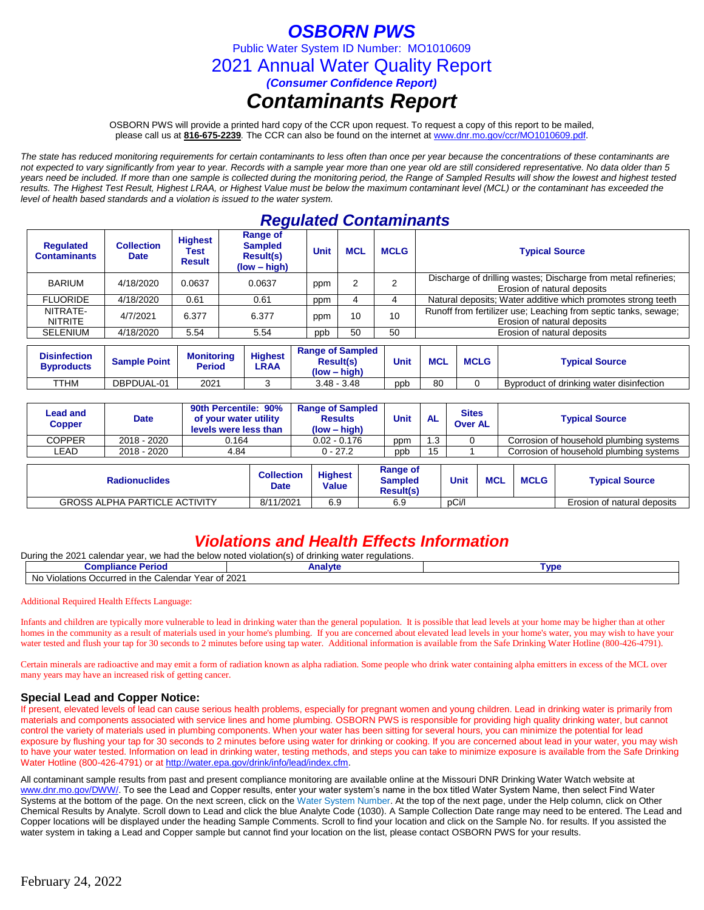# *OSBORN PWS*

Public Water System ID Number: MO1010609

2021 Annual Water Quality Report

*(Consumer Confidence Report)*

# *Contaminants Report*

OSBORN PWS will provide a printed hard copy of the CCR upon request. To request a copy of this report to be mailed, please call us at **816-675-2239***.* The CCR can also be found on the internet at www.dnr.mo.gov/ccr/MO1010609.pdf.

*The state has reduced monitoring requirements for certain contaminants to less often than once per year because the concentrations of these contaminants are not expected to vary significantly from year to year. Records with a sample year more than one year old are still considered representative. No data older than 5 years need be included. If more than one sample is collected during the monitoring period, the Range of Sampled Results will show the lowest and highest tested results. The Highest Test Result, Highest LRAA, or Highest Value must be below the maximum contaminant level (MCL) or the contaminant has exceeded the level of health based standards and a violation is issued to the water system.* 

## *Regulated Contaminants*

| <b>Requlated</b><br><b>Contaminants</b> | <b>Collection</b><br><b>Date</b> | <b>Highest</b><br>Test<br><b>Result</b> | Range of<br><b>Sampled</b><br><b>Result(s)</b><br>$(low - high)$ | <b>Unit</b> | <b>MCL</b> | <b>MCLG</b> | <b>Typical Source</b>                                                                          |
|-----------------------------------------|----------------------------------|-----------------------------------------|------------------------------------------------------------------|-------------|------------|-------------|------------------------------------------------------------------------------------------------|
| <b>BARIUM</b>                           | 4/18/2020                        | 0.0637                                  | 0.0637                                                           | ppm         |            | ◠           | Discharge of drilling wastes; Discharge from metal refineries;<br>Erosion of natural deposits  |
| <b>FLUORIDE</b>                         | 4/18/2020                        | 0.61                                    | 0.61                                                             | ppm         |            |             | Natural deposits; Water additive which promotes strong teeth                                   |
| NITRATE-<br><b>NITRITE</b>              | 4/7/2021                         | 6.377                                   | 6.377                                                            | ppm         | 10         | 10          | Runoff from fertilizer use; Leaching from septic tanks, sewage;<br>Erosion of natural deposits |
| SELENIUM                                | 4/18/2020                        | 5.54                                    | 5.54                                                             | ppp         | 50         | 50          | Erosion of natural deposits                                                                    |

| <b>Disinfection</b><br><b>Byproducts</b> | <b>Sample Point</b> | <b>Monitoring</b><br>Period | <b>Highest</b><br>LRAA | <b>Range of Sampled</b><br><b>Result(s)</b><br>$(low - high)$ | Unit | <b>MCL</b> | <b>MCLG</b> | <b>Typical Source</b>                    |
|------------------------------------------|---------------------|-----------------------------|------------------------|---------------------------------------------------------------|------|------------|-------------|------------------------------------------|
| TTHM                                     | DBPDUAL-01          | 2021                        |                        | $3.48 - 3.48$                                                 | ppb  | 80         |             | Byproduct of drinking water disinfection |

| <b>Lead and</b><br><b>Copper</b>     | <b>Date</b> | 90th Percentile: 90%<br>of your water utility<br>levels were less than |                                                                    | <b>Range of Sampled</b><br><b>Results</b><br>$(low - high)$ | Unit                                           | <b>AL</b> | <b>Sites</b><br><b>Over AL</b> |            | <b>Typical Source</b>                   |                                         |  |
|--------------------------------------|-------------|------------------------------------------------------------------------|--------------------------------------------------------------------|-------------------------------------------------------------|------------------------------------------------|-----------|--------------------------------|------------|-----------------------------------------|-----------------------------------------|--|
| <b>COPPER</b>                        | 2018 - 2020 | 0.164                                                                  |                                                                    | $0.02 - 0.176$                                              | ppm                                            | 1.3       |                                |            |                                         | Corrosion of household plumbing systems |  |
| LEAD                                 | 2018 - 2020 | 4.84                                                                   |                                                                    | $0 - 27.2$                                                  | ppb                                            | 15        |                                |            | Corrosion of household plumbing systems |                                         |  |
| <b>Radionuclides</b>                 |             |                                                                        | <b>Highest</b><br><b>Collection</b><br><b>Value</b><br><b>Date</b> |                                                             | Range of<br><b>Sampled</b><br><b>Result(s)</b> |           | Unit                           | <b>MCL</b> | <b>MCLG</b>                             | <b>Typical Source</b>                   |  |
| <b>GROSS ALPHA PARTICLE ACTIVITY</b> |             |                                                                        | 8/11/2021                                                          | 6.9                                                         | 6.9                                            |           | pCi/l                          |            |                                         | Erosion of natural deposits             |  |

## *Violations and Health Effects Information*

During the 2021 calendar year, we had the below noted violation(s) of drinking water regulations.

| <b>Compliar</b><br>eriod<br>165                                                                             | `੧l∨t⊾<br>Anar  | <b>VD</b> |
|-------------------------------------------------------------------------------------------------------------|-----------------|-----------|
| No<br>⊢the<br>ndar<br>Year of 2<br>Violations<br>`olon<br>l ir<br>curred<br>$\sim$<br>Caler<br>. <i>.</i> . | of 2021<br>____ |           |

Additional Required Health Effects Language:

Infants and children are typically more vulnerable to lead in drinking water than the general population. It is possible that lead levels at your home may be higher than at other homes in the community as a result of materials used in your home's plumbing. If you are concerned about elevated lead levels in your home's water, you may wish to have your water tested and flush your tap for 30 seconds to 2 minutes before using tap water. Additional information is available from the Safe Drinking Water Hotline (800-426-4791).

Certain minerals are radioactive and may emit a form of radiation known as alpha radiation. Some people who drink water containing alpha emitters in excess of the MCL over many years may have an increased risk of getting cancer.

### **Special Lead and Copper Notice:**

If present, elevated levels of lead can cause serious health problems, especially for pregnant women and young children. Lead in drinking water is primarily from materials and components associated with service lines and home plumbing. OSBORN PWS is responsible for providing high quality drinking water, but cannot control the variety of materials used in plumbing components. When your water has been sitting for several hours, you can minimize the potential for lead exposure by flushing your tap for 30 seconds to 2 minutes before using water for drinking or cooking. If you are concerned about lead in your water, you may wish to have your water tested. Information on lead in drinking water, testing methods, and steps you can take to minimize exposure is available from the Safe Drinking Water Hotline (800-426-4791) or at [http://water.epa.gov/drink/info/lead/index.cfm.](http://water.epa.gov/drink/info/lead/index.cfm)

All contaminant sample results from past and present compliance monitoring are available online at the Missouri DNR Drinking Water Watch website at [www.dnr.mo.gov/DWW/.](http://www.dnr.mo.gov/DWW/) To see the Lead and Copper results, enter your water system's name in the box titled Water System Name, then select Find Water Systems at the bottom of the page. On the next screen, click on the Water System Number. At the top of the next page, under the Help column, click on Other Chemical Results by Analyte. Scroll down to Lead and click the blue Analyte Code (1030). A Sample Collection Date range may need to be entered. The Lead and Copper locations will be displayed under the heading Sample Comments. Scroll to find your location and click on the Sample No. for results. If you assisted the water system in taking a Lead and Copper sample but cannot find your location on the list, please contact OSBORN PWS for your results.